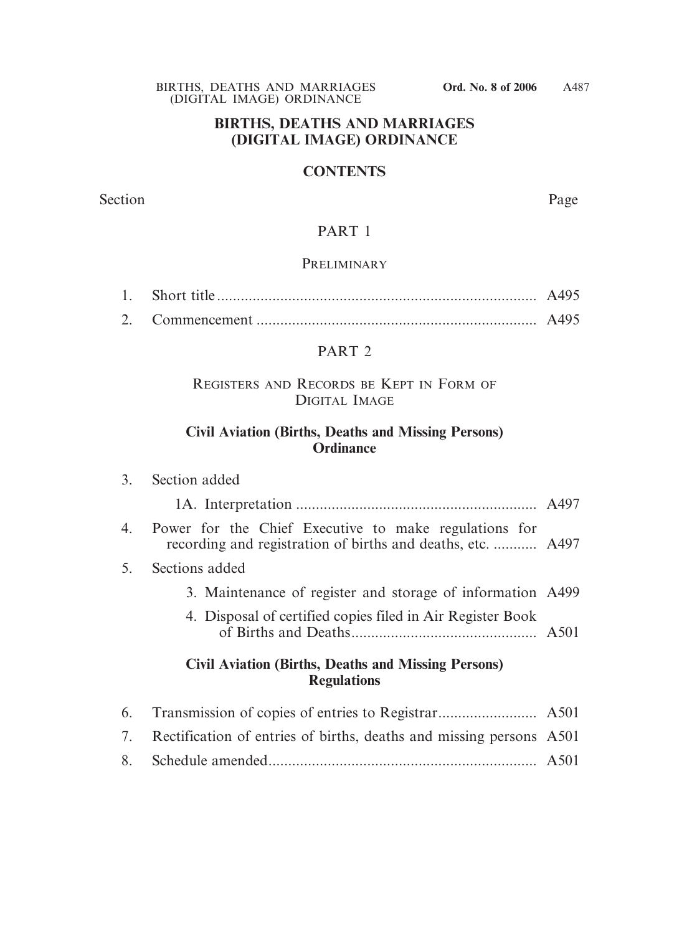#### **BIRTHS, DEATHS AND MARRIAGES (DIGITAL IMAGE) ORDINANCE**

#### **CONTENTS**

Section Page

## PART 1

#### **PRELIMINARY**

2. Commencement ....................................................................... A495

#### PART 2

#### REGISTERS AND RECORDS BE KEPT IN FORM OF DIGITAL IMAGE

## **Civil Aviation (Births, Deaths and Missing Persons) Ordinance**

|    | 3. Section added                                                                                                     |  |
|----|----------------------------------------------------------------------------------------------------------------------|--|
|    |                                                                                                                      |  |
| 4. | Power for the Chief Executive to make regulations for<br>recording and registration of births and deaths, etc.  A497 |  |
| 5. | Sections added                                                                                                       |  |
|    | 3. Maintenance of register and storage of information A499                                                           |  |
|    | 4. Disposal of certified copies filed in Air Register Book                                                           |  |
|    | <b>Civil Aviation (Births, Deaths and Missing Persons)</b><br><b>Regulations</b>                                     |  |
| 6. |                                                                                                                      |  |
| 7. | Rectification of entries of births, deaths and missing persons A501                                                  |  |

8. Schedule amended.................................................................... A501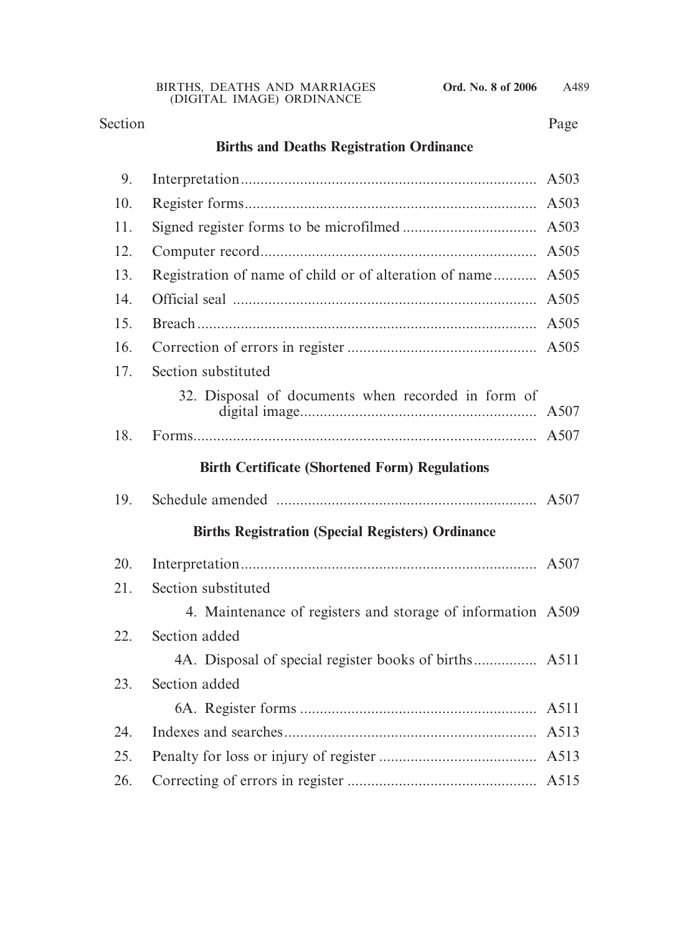## Section Page

# **Births and Deaths Registration Ordinance**

| 9.  |                                                             | A503 |
|-----|-------------------------------------------------------------|------|
| 10. |                                                             | A503 |
| 11. |                                                             | A503 |
| 12. |                                                             | A505 |
| 13. | Registration of name of child or of alteration of name      | A505 |
| 14. |                                                             | A505 |
| 15. |                                                             | A505 |
| 16. |                                                             | A505 |
| 17. | Section substituted                                         |      |
|     | 32. Disposal of documents when recorded in form of          | A507 |
| 18. |                                                             |      |
|     | <b>Birth Certificate (Shortened Form) Regulations</b>       |      |
| 19. |                                                             | A507 |
|     | <b>Births Registration (Special Registers) Ordinance</b>    |      |
| 20. |                                                             |      |
| 21. | Section substituted                                         |      |
|     | 4. Maintenance of registers and storage of information A509 |      |
| 22. | Section added                                               |      |
|     |                                                             |      |
| 23. | Section added                                               |      |
|     |                                                             | A511 |
| 24. |                                                             | A513 |
| 25. |                                                             | A513 |
| 26. |                                                             |      |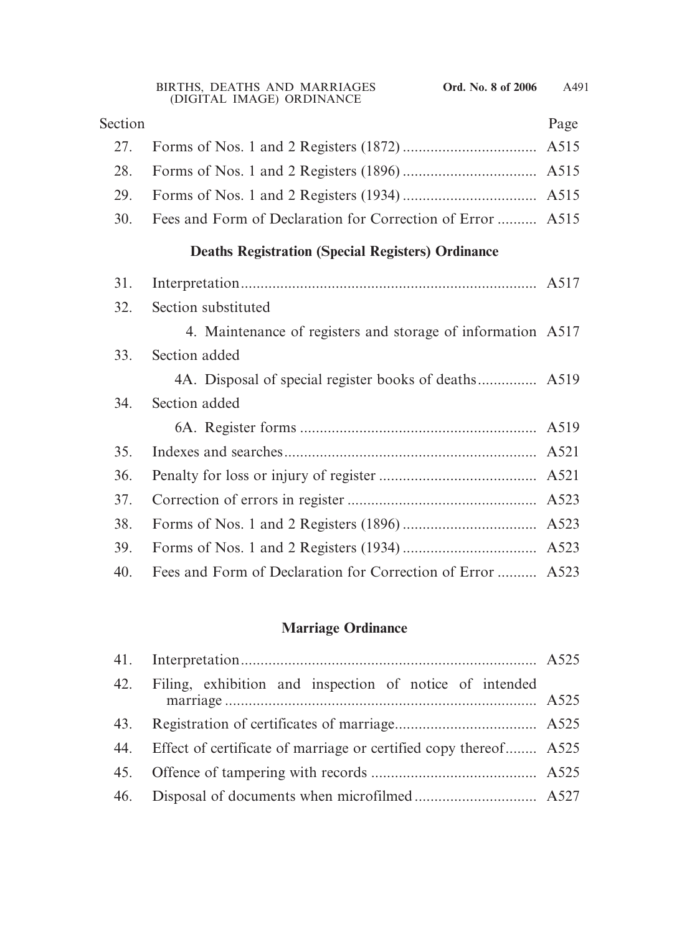| Section |                                                             | Page |
|---------|-------------------------------------------------------------|------|
| 27.     |                                                             | A515 |
| 28.     |                                                             |      |
| 29.     |                                                             |      |
| 30.     | Fees and Form of Declaration for Correction of Error  A515  |      |
|         | <b>Deaths Registration (Special Registers) Ordinance</b>    |      |
| 31.     |                                                             |      |
| 32.     | Section substituted                                         |      |
|         | 4. Maintenance of registers and storage of information A517 |      |
| 33.     | Section added                                               |      |
|         | 4A. Disposal of special register books of deaths A519       |      |
| 34.     | Section added                                               |      |
|         |                                                             |      |
| 35.     |                                                             |      |
| 36.     |                                                             |      |
| 37.     |                                                             |      |
| 38.     |                                                             |      |
| 39.     |                                                             |      |
| 40.     | Fees and Form of Declaration for Correction of Error  A523  |      |

# **Marriage Ordinance**

| 42. Filing, exhibition and inspection of notice of intended          |  |
|----------------------------------------------------------------------|--|
|                                                                      |  |
| 44. Effect of certificate of marriage or certified copy thereof A525 |  |
|                                                                      |  |
|                                                                      |  |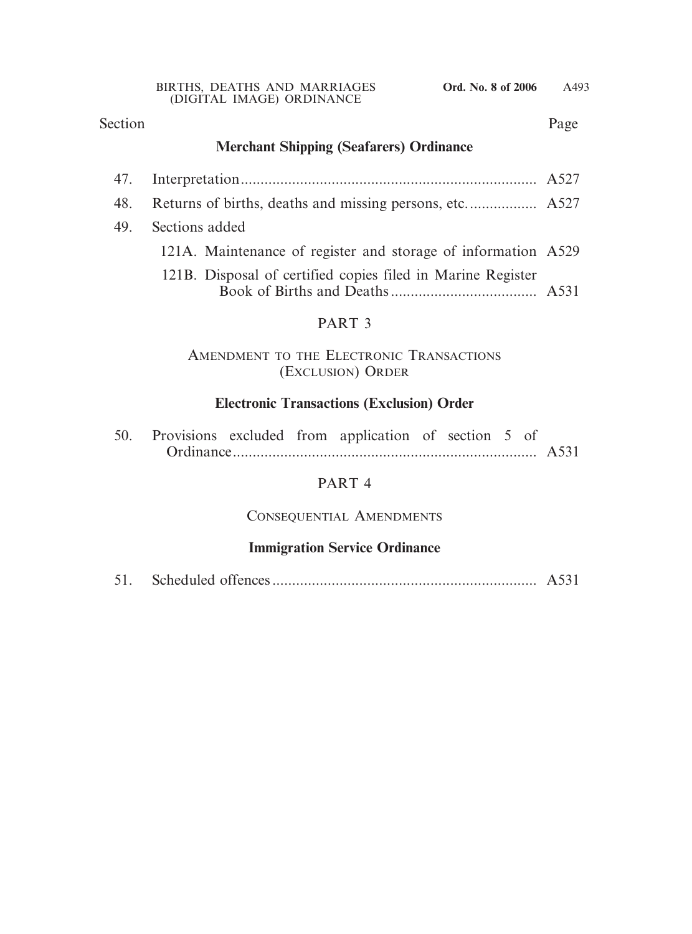#### Section Page

## **Merchant Shipping (Seafarers) Ordinance**

| 48. |                                                               |  |
|-----|---------------------------------------------------------------|--|
| 49. | Sections added                                                |  |
|     | 121A. Maintenance of register and storage of information A529 |  |
|     | 121B. Disposal of certified copies filed in Marine Register   |  |
|     | PART <sub>3</sub>                                             |  |
|     |                                                               |  |

## AMENDMENT TO THE ELECTRONIC TRANSACTIONS (EXCLUSION) ORDER

## **Electronic Transactions (Exclusion) Order**

|  |  | 50. Provisions excluded from application of section 5 of |  |  |  |
|--|--|----------------------------------------------------------|--|--|--|
|  |  |                                                          |  |  |  |

## PART 4

## CONSEQUENTIAL AMENDMENTS

## **Immigration Service Ordinance**

|--|--|--|--|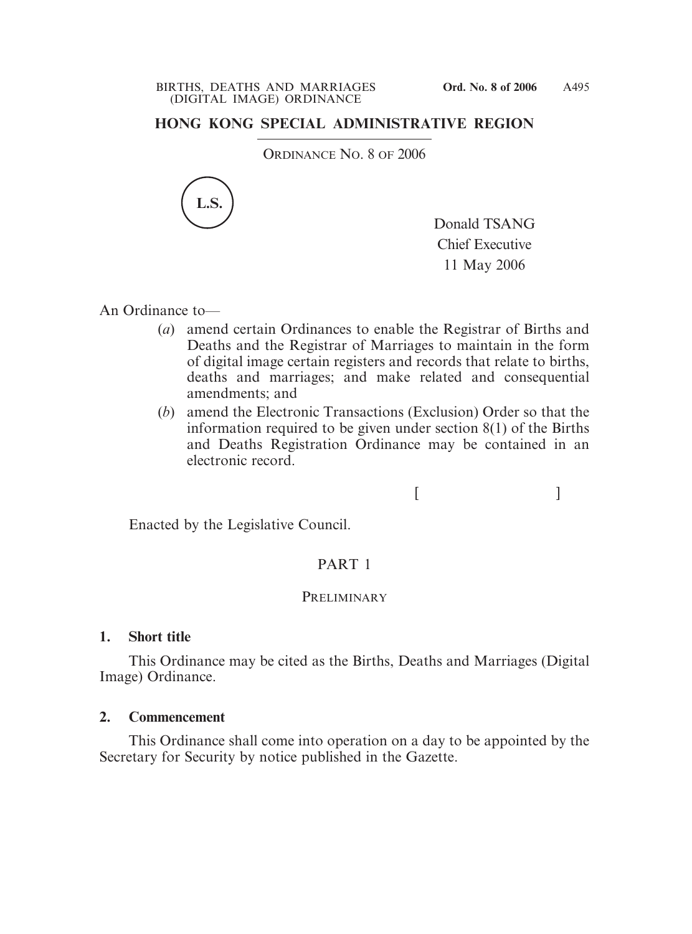## **HONG KONG SPECIAL ADMINISTRATIVE REGION**

ORDINANCE NO. 8 OF 2006



Donald TSANG Chief Executive 11 May 2006

An Ordinance to—

- (*a*) amend certain Ordinances to enable the Registrar of Births and Deaths and the Registrar of Marriages to maintain in the form of digital image certain registers and records that relate to births, deaths and marriages; and make related and consequential amendments; and
- (*b*) amend the Electronic Transactions (Exclusion) Order so that the information required to be given under section 8(1) of the Births and Deaths Registration Ordinance may be contained in an electronic record.

 $[$   $]$ 

Enacted by the Legislative Council.

## PART 1

## **PRELIMINARY**

## **1. Short title**

This Ordinance may be cited as the Births, Deaths and Marriages (Digital Image) Ordinance.

## **2. Commencement**

This Ordinance shall come into operation on a day to be appointed by the Secretary for Security by notice published in the Gazette.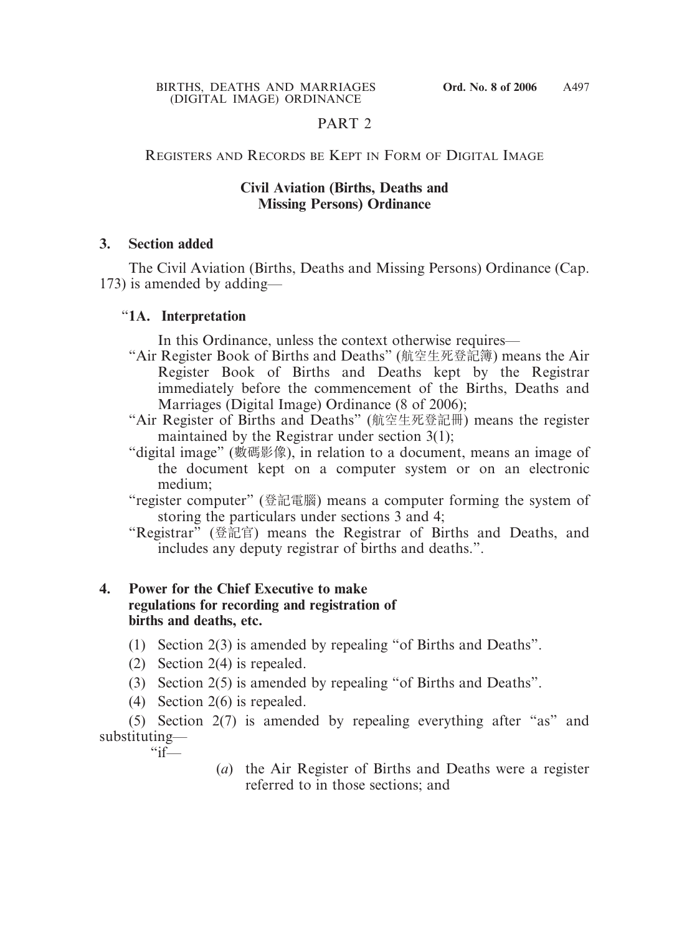## PART 2

#### REGISTERS AND RECORDS BE KEPT IN FORM OF DIGITAL IMAGE

#### **Civil Aviation (Births, Deaths and Missing Persons) Ordinance**

#### **3. Section added**

The Civil Aviation (Births, Deaths and Missing Persons) Ordinance (Cap. 173) is amended by adding—

#### "**1A. Interpretation**

In this Ordinance, unless the context otherwise requires—

- "Air Register Book of Births and Deaths" (航空生死登記簿) means the Air Register Book of Births and Deaths kept by the Registrar immediately before the commencement of the Births, Deaths and Marriages (Digital Image) Ordinance (8 of 2006);
- "Air Register of Births and Deaths" (航空生死登記冊) means the register maintained by the Registrar under section 3(1);
- "digital image" (數碼影像), in relation to a document, means an image of the document kept on a computer system or on an electronic medium;
- "register computer" (登記電腦) means a computer forming the system of storing the particulars under sections 3 and 4;
- "Registrar" (登記官) means the Registrar of Births and Deaths, and includes any deputy registrar of births and deaths.".

## **4. Power for the Chief Executive to make regulations for recording and registration of births and deaths, etc.**

- (1) Section 2(3) is amended by repealing "of Births and Deaths".
- (2) Section 2(4) is repealed.
- (3) Section 2(5) is amended by repealing "of Births and Deaths".
- (4) Section 2(6) is repealed.

(5) Section 2(7) is amended by repealing everything after "as" and substituting—  $\frac{a}{1}$ 

> (*a*) the Air Register of Births and Deaths were a register referred to in those sections; and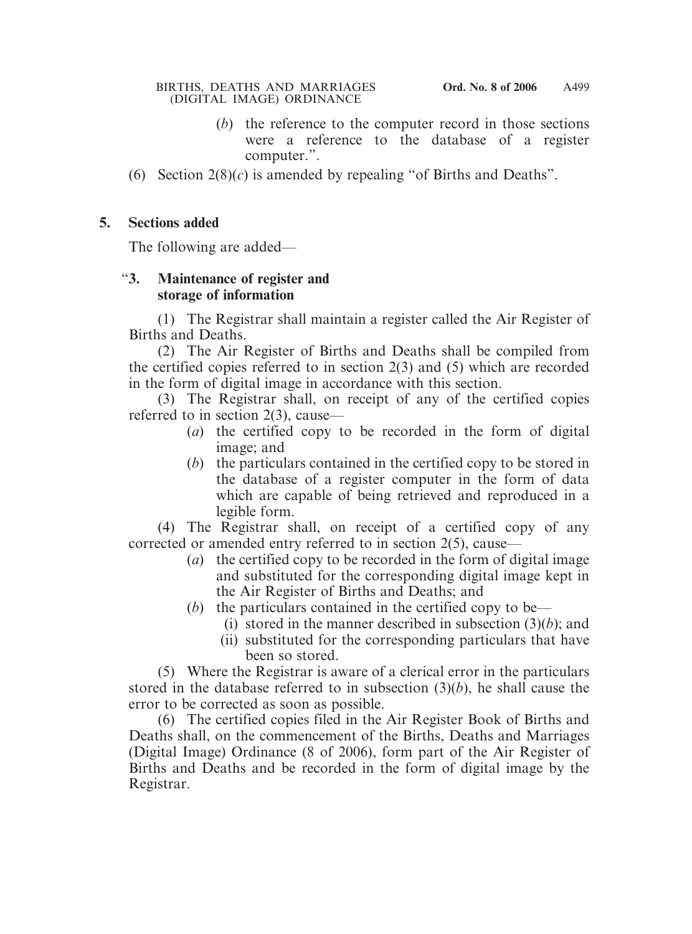- (*b*) the reference to the computer record in those sections were a reference to the database of a register computer.".
- (6) Section 2(8)(*c*) is amended by repealing "of Births and Deaths".

#### **5. Sections added**

The following are added—

## "**3. Maintenance of register and storage of information**

(1) The Registrar shall maintain a register called the Air Register of Births and Deaths.

(2) The Air Register of Births and Deaths shall be compiled from the certified copies referred to in section 2(3) and (5) which are recorded in the form of digital image in accordance with this section.

(3) The Registrar shall, on receipt of any of the certified copies referred to in section 2(3), cause—

- (*a*) the certified copy to be recorded in the form of digital image; and
- (*b*) the particulars contained in the certified copy to be stored in the database of a register computer in the form of data which are capable of being retrieved and reproduced in a legible form.

(4) The Registrar shall, on receipt of a certified copy of any corrected or amended entry referred to in section 2(5), cause—

- (*a*) the certified copy to be recorded in the form of digital image and substituted for the corresponding digital image kept in the Air Register of Births and Deaths; and
- (*b*) the particulars contained in the certified copy to be—
	- (i) stored in the manner described in subsection  $(3)(b)$ ; and
	- (ii) substituted for the corresponding particulars that have been so stored.

(5) Where the Registrar is aware of a clerical error in the particulars stored in the database referred to in subsection (3)(*b*), he shall cause the error to be corrected as soon as possible.

(6) The certified copies filed in the Air Register Book of Births and Deaths shall, on the commencement of the Births, Deaths and Marriages (Digital Image) Ordinance (8 of 2006), form part of the Air Register of Births and Deaths and be recorded in the form of digital image by the Registrar.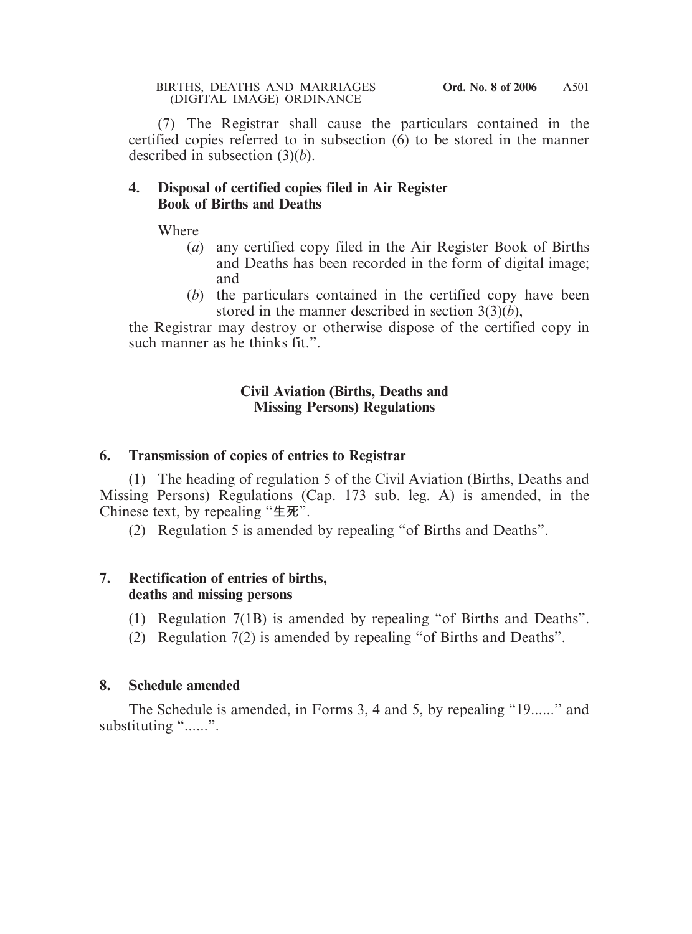(7) The Registrar shall cause the particulars contained in the certified copies referred to in subsection  $(6)$  to be stored in the manner described in subsection (3)(*b*).

#### **4. Disposal of certified copies filed in Air Register Book of Births and Deaths**

Where—

- (*a*) any certified copy filed in the Air Register Book of Births and Deaths has been recorded in the form of digital image; and
- (*b*) the particulars contained in the certified copy have been stored in the manner described in section 3(3)(*b*),

the Registrar may destroy or otherwise dispose of the certified copy in such manner as he thinks fit.".

## **Civil Aviation (Births, Deaths and Missing Persons) Regulations**

## **6. Transmission of copies of entries to Registrar**

(1) The heading of regulation 5 of the Civil Aviation (Births, Deaths and Missing Persons) Regulations (Cap. 173 sub. leg. A) is amended, in the Chinese text, by repealing "**生死**".

(2) Regulation 5 is amended by repealing "of Births and Deaths".

## **7. Rectification of entries of births, deaths and missing persons**

- (1) Regulation 7(1B) is amended by repealing "of Births and Deaths".
- (2) Regulation 7(2) is amended by repealing "of Births and Deaths".

## **8. Schedule amended**

The Schedule is amended, in Forms 3, 4 and 5, by repealing "19......" and substituting "......".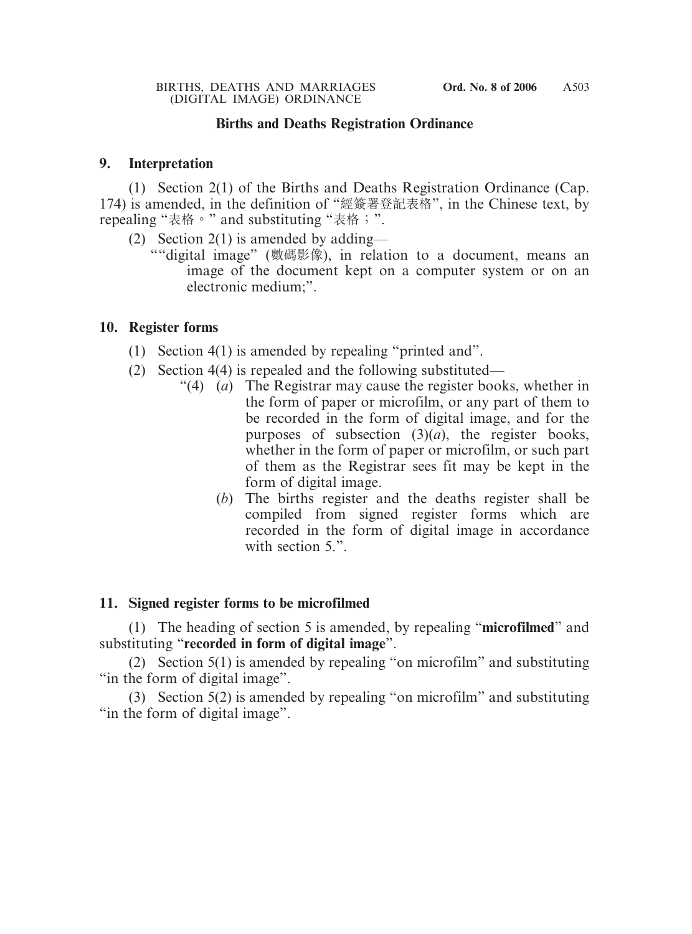#### **Births and Deaths Registration Ordinance**

#### **9. Interpretation**

(1) Section 2(1) of the Births and Deaths Registration Ordinance (Cap. 174) is amended, in the definition of "經簽署登記表格", in the Chinese text, by repealing "表格。" and substituting "表格;".

- (2) Section 2(1) is amended by adding—
	- ""digital image" (數碼影像), in relation to a document, means an image of the document kept on a computer system or on an electronic medium;".

#### **10. Register forms**

- (1) Section 4(1) is amended by repealing "printed and".
- (2) Section 4(4) is repealed and the following substituted—
	- "(4) (*a*) The Registrar may cause the register books, whether in the form of paper or microfilm, or any part of them to be recorded in the form of digital image, and for the purposes of subsection  $(3)(a)$ , the register books, whether in the form of paper or microfilm, or such part of them as the Registrar sees fit may be kept in the form of digital image.
		- (*b*) The births register and the deaths register shall be compiled from signed register forms which are recorded in the form of digital image in accordance with section 5.".

#### **11. Signed register forms to be microfilmed**

(1) The heading of section 5 is amended, by repealing "**microfilmed**" and substituting "**recorded in form of digital image**".

(2) Section 5(1) is amended by repealing "on microfilm" and substituting "in the form of digital image".

(3) Section 5(2) is amended by repealing "on microfilm" and substituting "in the form of digital image".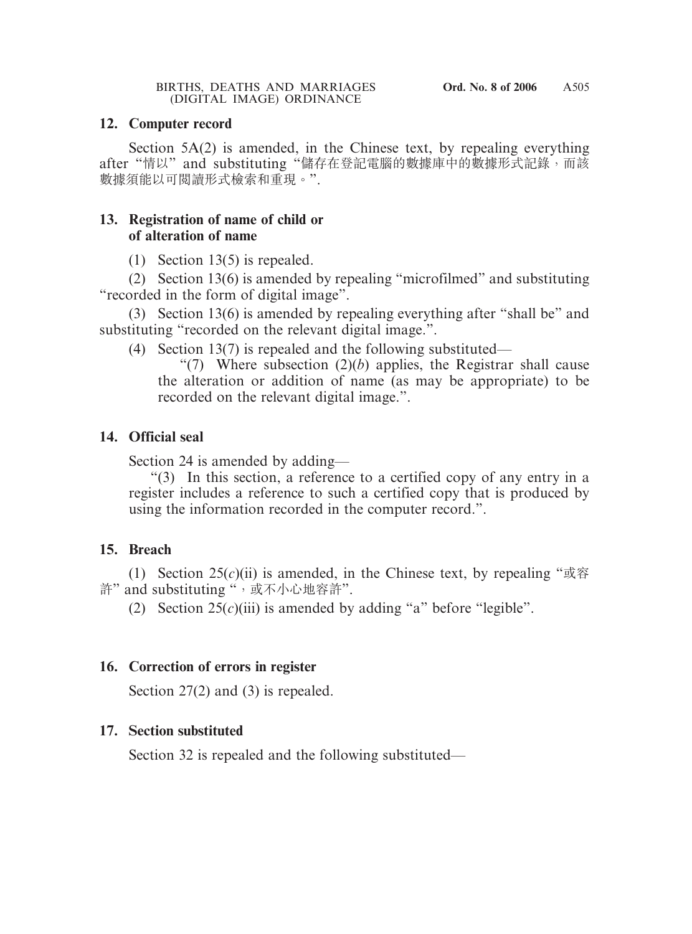#### **12. Computer record**

Section 5A(2) is amended, in the Chinese text, by repealing everything after "情以" and substituting "儲存在登記電腦的數據庫中的數據形式記錄,而該 數據須能以可閱讀形式檢索和重現。".

#### **13. Registration of name of child or of alteration of name**

(1) Section 13(5) is repealed.

(2) Section 13(6) is amended by repealing "microfilmed" and substituting "recorded in the form of digital image".

(3) Section 13(6) is amended by repealing everything after "shall be" and substituting "recorded on the relevant digital image.".

(4) Section 13(7) is repealed and the following substituted—

"(7) Where subsection  $(2)(b)$  applies, the Registrar shall cause the alteration or addition of name (as may be appropriate) to be recorded on the relevant digital image.".

## **14. Official seal**

Section 24 is amended by adding—

"(3) In this section, a reference to a certified copy of any entry in a register includes a reference to such a certified copy that is produced by using the information recorded in the computer record.".

## **15. Breach**

(1) Section  $25(c)(ii)$  is amended, in the Chinese text, by repealing " $\mathbb{R}$ <sup>si</sup> 許" and substituting ", 或不小心地容許".

(2) Section  $25(c)(iii)$  is amended by adding "a" before "legible".

## **16. Correction of errors in register**

Section 27(2) and (3) is repealed.

## **17. Section substituted**

Section 32 is repealed and the following substituted—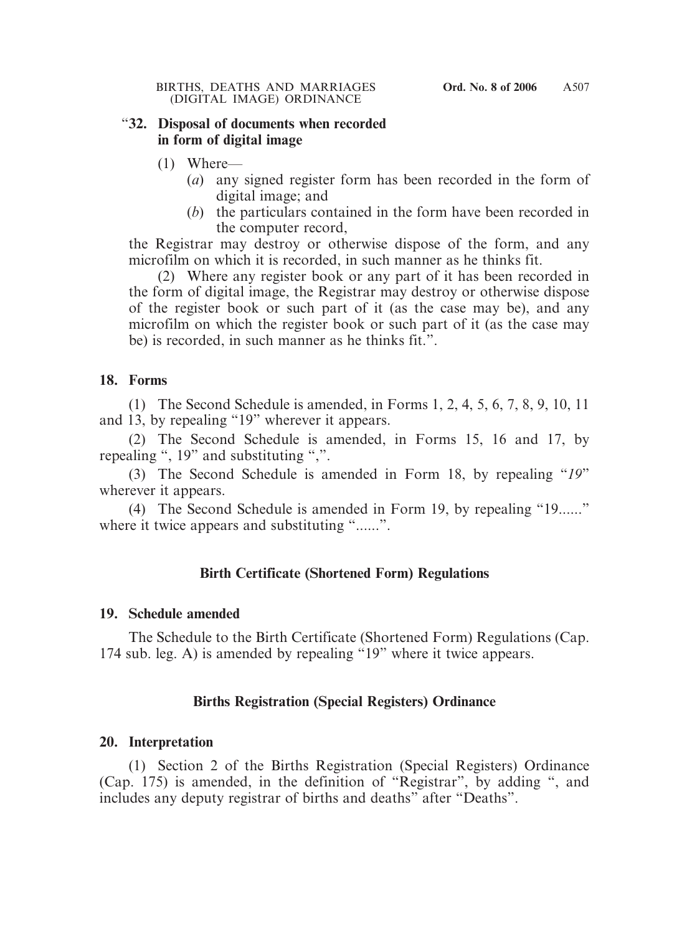#### "**32. Disposal of documents when recorded in form of digital image**

- (1) Where—
	- (*a*) any signed register form has been recorded in the form of digital image; and
	- (*b*) the particulars contained in the form have been recorded in the computer record,

the Registrar may destroy or otherwise dispose of the form, and any microfilm on which it is recorded, in such manner as he thinks fit.

(2) Where any register book or any part of it has been recorded in the form of digital image, the Registrar may destroy or otherwise dispose of the register book or such part of it (as the case may be), and any microfilm on which the register book or such part of it (as the case may be) is recorded, in such manner as he thinks fit.".

## **18. Forms**

(1) The Second Schedule is amended, in Forms 1, 2, 4, 5, 6, 7, 8, 9, 10, 11 and 13, by repealing "19" wherever it appears.

(2) The Second Schedule is amended, in Forms 15, 16 and 17, by repealing ", 19" and substituting ",".

(3) The Second Schedule is amended in Form 18, by repealing "*19*" wherever it appears.

(4) The Second Schedule is amended in Form 19, by repealing "19......" where it twice appears and substituting "......".

## **Birth Certificate (Shortened Form) Regulations**

#### **19. Schedule amended**

The Schedule to the Birth Certificate (Shortened Form) Regulations (Cap. 174 sub. leg. A) is amended by repealing "19" where it twice appears.

## **Births Registration (Special Registers) Ordinance**

#### **20. Interpretation**

(1) Section 2 of the Births Registration (Special Registers) Ordinance (Cap. 175) is amended, in the definition of "Registrar", by adding ", and includes any deputy registrar of births and deaths" after "Deaths".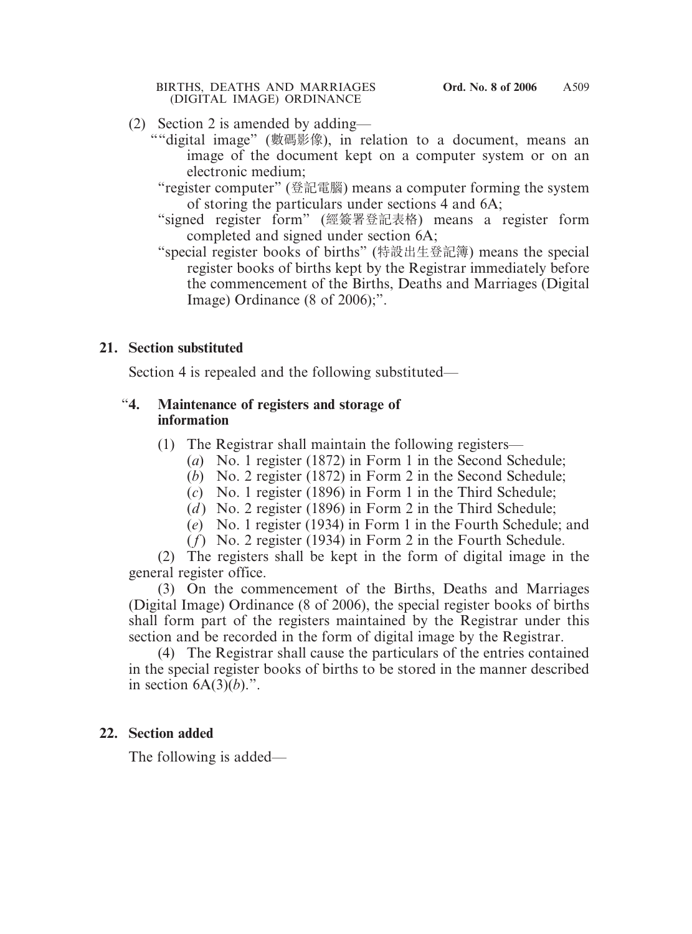#### BIRTHS, DEATHS AND MARRIAGES **Ord. No. 8 of 2006** (DIGITAL IMAGE) ORDINANCE

- (2) Section 2 is amended by adding—
	- ""digital image" (數碼影像), in relation to a document, means an image of the document kept on a computer system or on an electronic medium;
		- "register computer" (登記電腦) means a computer forming the system of storing the particulars under sections 4 and 6A;
		- "signed register form" (經簽署登記表格) means a register form completed and signed under section 6A;
		- "special register books of births" (特設出生登記簿) means the special register books of births kept by the Registrar immediately before the commencement of the Births, Deaths and Marriages (Digital Image) Ordinance (8 of 2006);".

## **21. Section substituted**

Section 4 is repealed and the following substituted—

## "**4. Maintenance of registers and storage of information**

- (1) The Registrar shall maintain the following registers—
	- (*a*) No. 1 register (1872) in Form 1 in the Second Schedule;
	- (*b*) No. 2 register (1872) in Form 2 in the Second Schedule;
	- (*c*) No. 1 register (1896) in Form 1 in the Third Schedule;
	- (*d*) No. 2 register (1896) in Form 2 in the Third Schedule;
	- (*e*) No. 1 register (1934) in Form 1 in the Fourth Schedule; and
	- (*f*) No. 2 register (1934) in Form 2 in the Fourth Schedule.

(2) The registers shall be kept in the form of digital image in the general register office.

(3) On the commencement of the Births, Deaths and Marriages (Digital Image) Ordinance (8 of 2006), the special register books of births shall form part of the registers maintained by the Registrar under this section and be recorded in the form of digital image by the Registrar.

(4) The Registrar shall cause the particulars of the entries contained in the special register books of births to be stored in the manner described in section  $6A(3)(b)$ .".

## **22. Section added**

The following is added—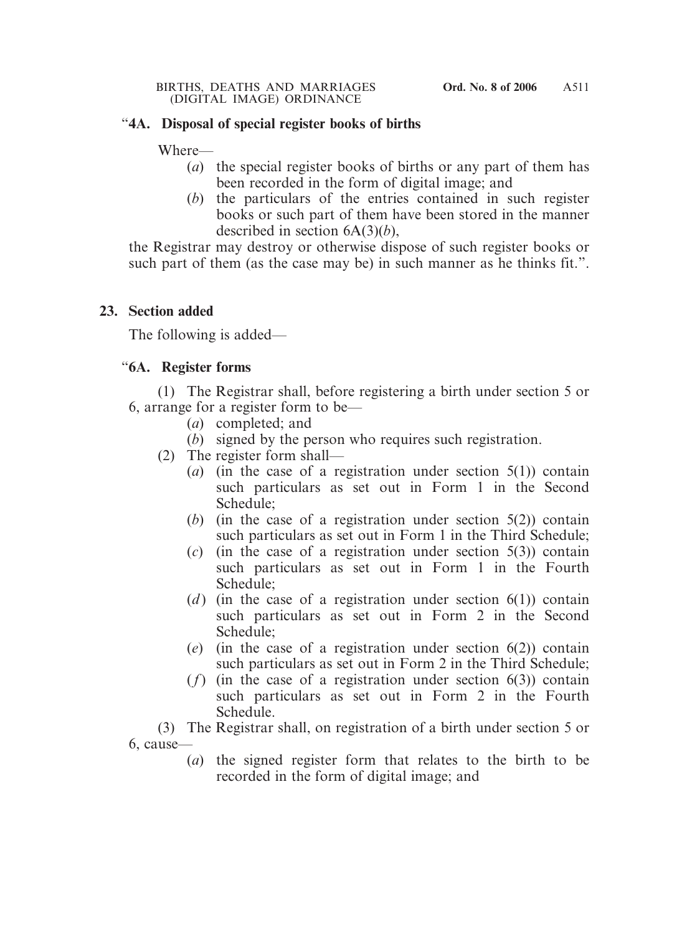## "**4A. Disposal of special register books of births**

Where—

- (*a*) the special register books of births or any part of them has been recorded in the form of digital image; and
- (*b*) the particulars of the entries contained in such register books or such part of them have been stored in the manner described in section 6A(3)(*b*),

the Registrar may destroy or otherwise dispose of such register books or such part of them (as the case may be) in such manner as he thinks fit.".

## **23. Section added**

The following is added—

## "**6A. Register forms**

(1) The Registrar shall, before registering a birth under section 5 or 6, arrange for a register form to be—

- (*a*) completed; and
- (*b*) signed by the person who requires such registration.
- (2) The register form shall—
	- (*a*) (in the case of a registration under section 5(1)) contain such particulars as set out in Form 1 in the Second Schedule;
	- (*b*) (in the case of a registration under section 5(2)) contain such particulars as set out in Form 1 in the Third Schedule;
	- (*c*) (in the case of a registration under section 5(3)) contain such particulars as set out in Form 1 in the Fourth Schedule;
	- (*d*) (in the case of a registration under section  $6(1)$ ) contain such particulars as set out in Form 2 in the Second Schedule;
	- (*e*) (in the case of a registration under section 6(2)) contain such particulars as set out in Form 2 in the Third Schedule;
	- (*f*) (in the case of a registration under section 6(3)) contain such particulars as set out in Form 2 in the Fourth Schedule.

(3) The Registrar shall, on registration of a birth under section 5 or 6, cause—

(*a*) the signed register form that relates to the birth to be recorded in the form of digital image; and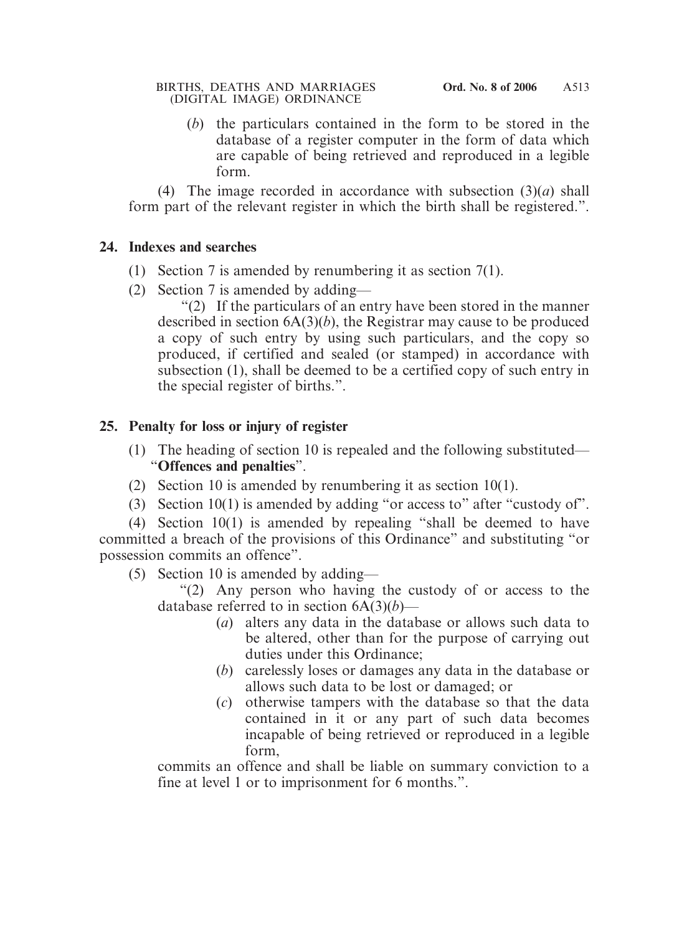(*b*) the particulars contained in the form to be stored in the database of a register computer in the form of data which are capable of being retrieved and reproduced in a legible form.

(4) The image recorded in accordance with subsection (3)(*a*) shall form part of the relevant register in which the birth shall be registered.".

## **24. Indexes and searches**

- (1) Section 7 is amended by renumbering it as section 7(1).
- (2) Section 7 is amended by adding—

"(2) If the particulars of an entry have been stored in the manner described in section 6A(3)(*b*), the Registrar may cause to be produced a copy of such entry by using such particulars, and the copy so produced, if certified and sealed (or stamped) in accordance with subsection (1), shall be deemed to be a certified copy of such entry in the special register of births.".

## **25. Penalty for loss or injury of register**

- (1) The heading of section 10 is repealed and the following substituted— "**Offences and penalties**".
- (2) Section 10 is amended by renumbering it as section 10(1).
- (3) Section 10(1) is amended by adding "or access to" after "custody of".

(4) Section 10(1) is amended by repealing "shall be deemed to have committed a breach of the provisions of this Ordinance" and substituting "or possession commits an offence".

(5) Section 10 is amended by adding—

"(2) Any person who having the custody of or access to the database referred to in section 6A(3)(*b*)—

- (*a*) alters any data in the database or allows such data to be altered, other than for the purpose of carrying out duties under this Ordinance;
- (*b*) carelessly loses or damages any data in the database or allows such data to be lost or damaged; or
- (*c*) otherwise tampers with the database so that the data contained in it or any part of such data becomes incapable of being retrieved or reproduced in a legible form,

commits an offence and shall be liable on summary conviction to a fine at level 1 or to imprisonment for 6 months.".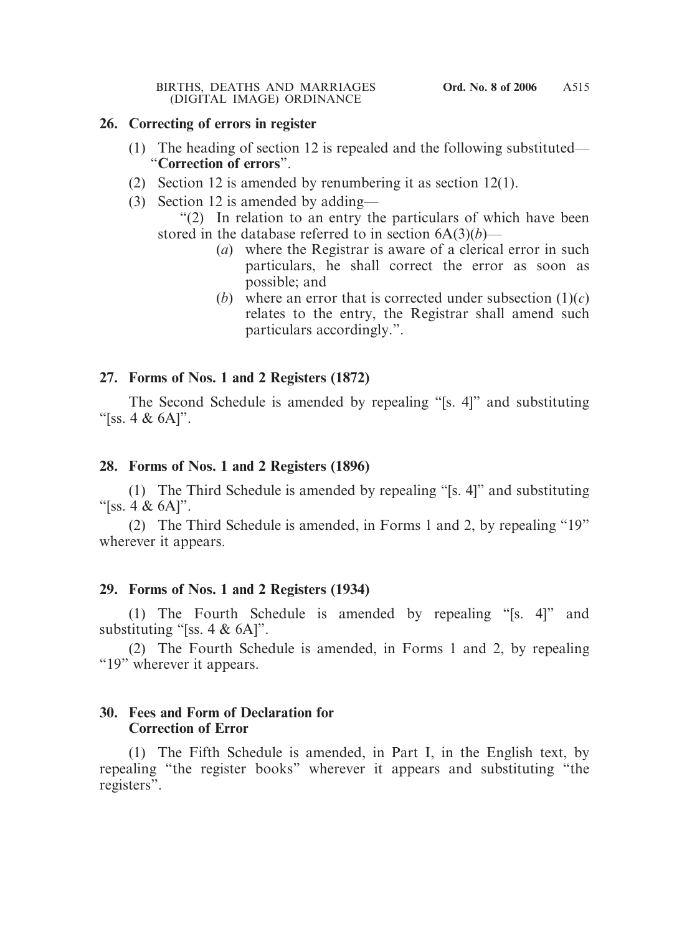#### BIRTHS, DEATHS AND MARRIAGES **Ord. No. 8 of 2006** (DIGITAL IMAGE) ORDINANCE

## **26. Correcting of errors in register**

- (1) The heading of section 12 is repealed and the following substituted— "**Correction of errors**".
- (2) Section 12 is amended by renumbering it as section 12(1).
- (3) Section 12 is amended by adding—

"(2) In relation to an entry the particulars of which have been stored in the database referred to in section  $6A(3)(b)$ —

- (*a*) where the Registrar is aware of a clerical error in such particulars, he shall correct the error as soon as possible; and
- (*b*) where an error that is corrected under subsection  $(1)(c)$ relates to the entry, the Registrar shall amend such particulars accordingly.".

## **27. Forms of Nos. 1 and 2 Registers (1872)**

The Second Schedule is amended by repealing "[s. 4]" and substituting "[ss.  $4 \& 6A$ ]".

## **28. Forms of Nos. 1 and 2 Registers (1896)**

(1) The Third Schedule is amended by repealing "[s. 4]" and substituting "[ss. 4  $\&$  6A]".

(2) The Third Schedule is amended, in Forms 1 and 2, by repealing "19" wherever it appears.

## **29. Forms of Nos. 1 and 2 Registers (1934)**

(1) The Fourth Schedule is amended by repealing "[s. 4]" and substituting "[ss. 4 & 6A]".

(2) The Fourth Schedule is amended, in Forms 1 and 2, by repealing "19" wherever it appears.

## **30. Fees and Form of Declaration for Correction of Error**

(1) The Fifth Schedule is amended, in Part I, in the English text, by repealing "the register books" wherever it appears and substituting "the registers".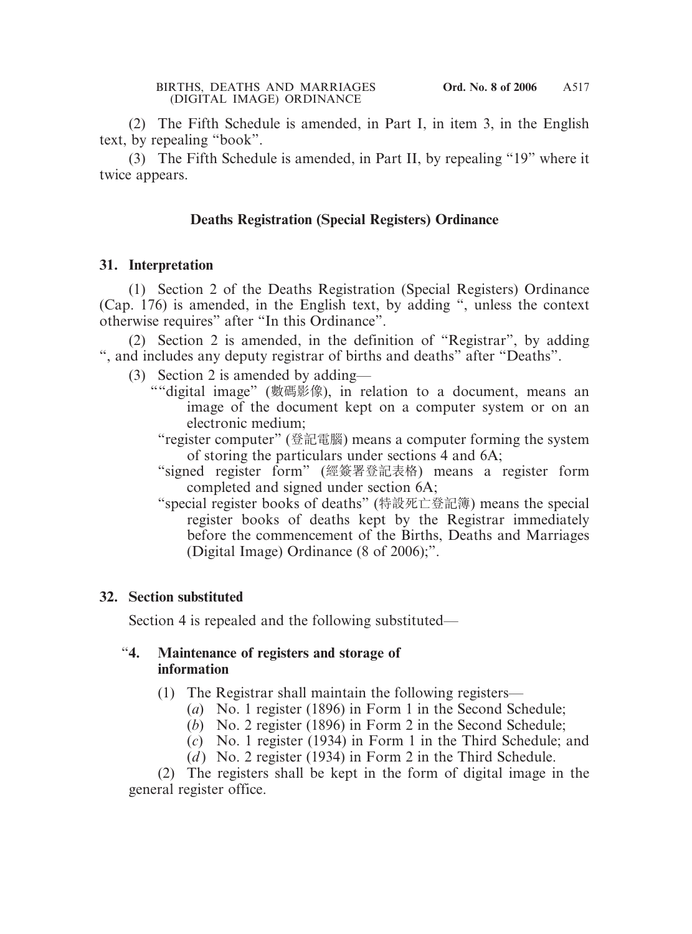(2) The Fifth Schedule is amended, in Part I, in item 3, in the English text, by repealing "book".

(3) The Fifth Schedule is amended, in Part II, by repealing "19" where it twice appears.

#### **Deaths Registration (Special Registers) Ordinance**

#### **31. Interpretation**

(1) Section 2 of the Deaths Registration (Special Registers) Ordinance (Cap. 176) is amended, in the English text, by adding ", unless the context otherwise requires" after "In this Ordinance".

(2) Section 2 is amended, in the definition of "Registrar", by adding ", and includes any deputy registrar of births and deaths" after "Deaths".

- (3) Section 2 is amended by adding—
	- ""digital image" (數碼影像), in relation to a document, means an image of the document kept on a computer system or on an electronic medium;
		- "register computer" (登記電腦) means a computer forming the system of storing the particulars under sections 4 and 6A;
		- "signed register form" (經簽署登記表格) means a register form completed and signed under section 6A;
		- "special register books of deaths" (特設死亡登記簿) means the special register books of deaths kept by the Registrar immediately before the commencement of the Births, Deaths and Marriages (Digital Image) Ordinance (8 of 2006);".

#### **32. Section substituted**

Section 4 is repealed and the following substituted—

#### "**4. Maintenance of registers and storage of information**

- (1) The Registrar shall maintain the following registers—
	- (*a*) No. 1 register (1896) in Form 1 in the Second Schedule;
	- (*b*) No. 2 register (1896) in Form 2 in the Second Schedule;
	- (*c*) No. 1 register (1934) in Form 1 in the Third Schedule; and
	- (*d*) No. 2 register (1934) in Form 2 in the Third Schedule.

(2) The registers shall be kept in the form of digital image in the general register office.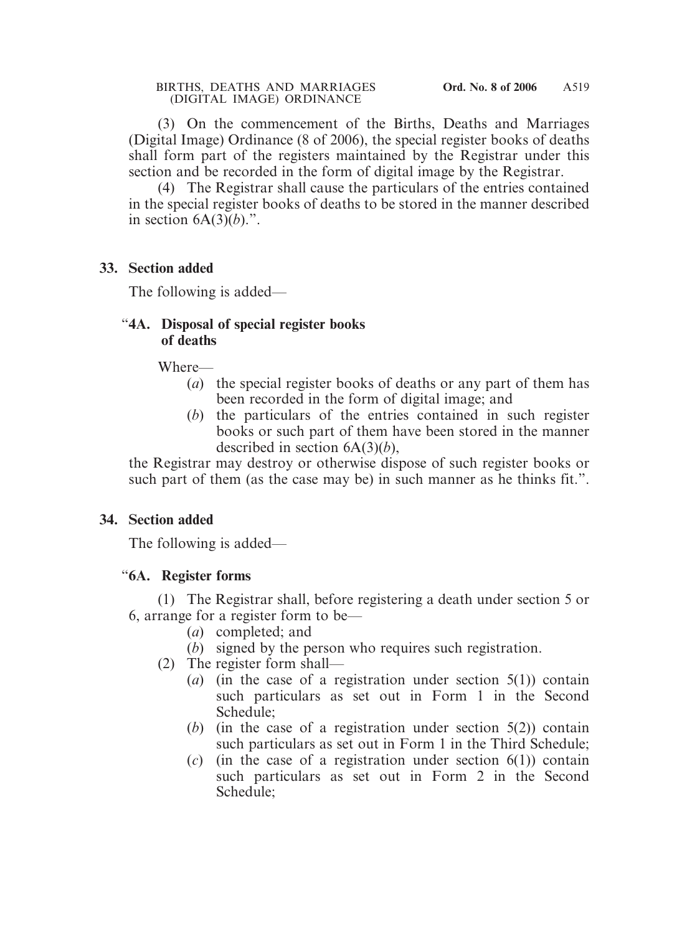(3) On the commencement of the Births, Deaths and Marriages (Digital Image) Ordinance (8 of 2006), the special register books of deaths shall form part of the registers maintained by the Registrar under this section and be recorded in the form of digital image by the Registrar.

(4) The Registrar shall cause the particulars of the entries contained in the special register books of deaths to be stored in the manner described in section  $6A(3)(b)$ .".

#### **33. Section added**

The following is added—

## "**4A. Disposal of special register books of deaths**

Where—

- (*a*) the special register books of deaths or any part of them has been recorded in the form of digital image; and
- (*b*) the particulars of the entries contained in such register books or such part of them have been stored in the manner described in section 6A(3)(*b*),

the Registrar may destroy or otherwise dispose of such register books or such part of them (as the case may be) in such manner as he thinks fit.".

## **34. Section added**

The following is added—

## "**6A. Register forms**

(1) The Registrar shall, before registering a death under section 5 or 6, arrange for a register form to be—

- (*a*) completed; and
- (*b*) signed by the person who requires such registration.
- (2) The register form shall—
	- (*a*) (in the case of a registration under section 5(1)) contain such particulars as set out in Form 1 in the Second Schedule;
	- (*b*) (in the case of a registration under section 5(2)) contain such particulars as set out in Form 1 in the Third Schedule;
	- (*c*) (in the case of a registration under section 6(1)) contain such particulars as set out in Form 2 in the Second Schedule;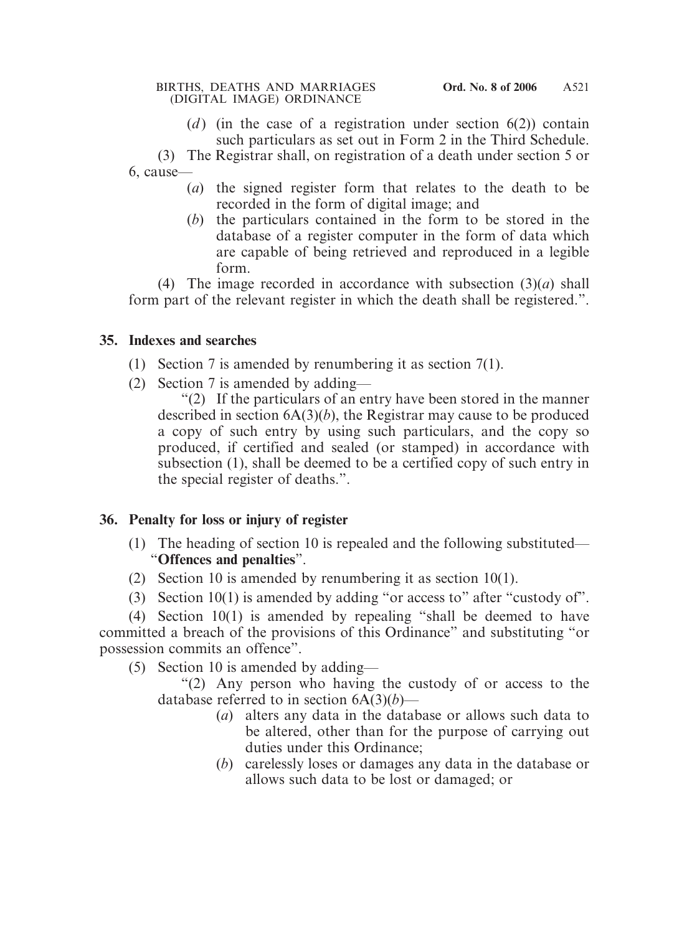(*d*) (in the case of a registration under section  $6(2)$ ) contain such particulars as set out in Form 2 in the Third Schedule.

(3) The Registrar shall, on registration of a death under section 5 or 6, cause—

- (*a*) the signed register form that relates to the death to be recorded in the form of digital image; and
- (*b*) the particulars contained in the form to be stored in the database of a register computer in the form of data which are capable of being retrieved and reproduced in a legible form.

(4) The image recorded in accordance with subsection (3)(*a*) shall form part of the relevant register in which the death shall be registered.".

## **35. Indexes and searches**

- (1) Section 7 is amended by renumbering it as section 7(1).
- (2) Section 7 is amended by adding—

"(2) If the particulars of an entry have been stored in the manner described in section 6A(3)(*b*), the Registrar may cause to be produced a copy of such entry by using such particulars, and the copy so produced, if certified and sealed (or stamped) in accordance with subsection (1), shall be deemed to be a certified copy of such entry in the special register of deaths.".

## **36. Penalty for loss or injury of register**

- (1) The heading of section 10 is repealed and the following substituted— "**Offences and penalties**".
- (2) Section 10 is amended by renumbering it as section 10(1).
- (3) Section  $10(1)$  is amended by adding "or access to" after "custody of".

(4) Section 10(1) is amended by repealing "shall be deemed to have committed a breach of the provisions of this Ordinance" and substituting "or possession commits an offence".

(5) Section 10 is amended by adding—

"(2) Any person who having the custody of or access to the database referred to in section 6A(3)(*b*)—

- (*a*) alters any data in the database or allows such data to be altered, other than for the purpose of carrying out duties under this Ordinance;
- (*b*) carelessly loses or damages any data in the database or allows such data to be lost or damaged; or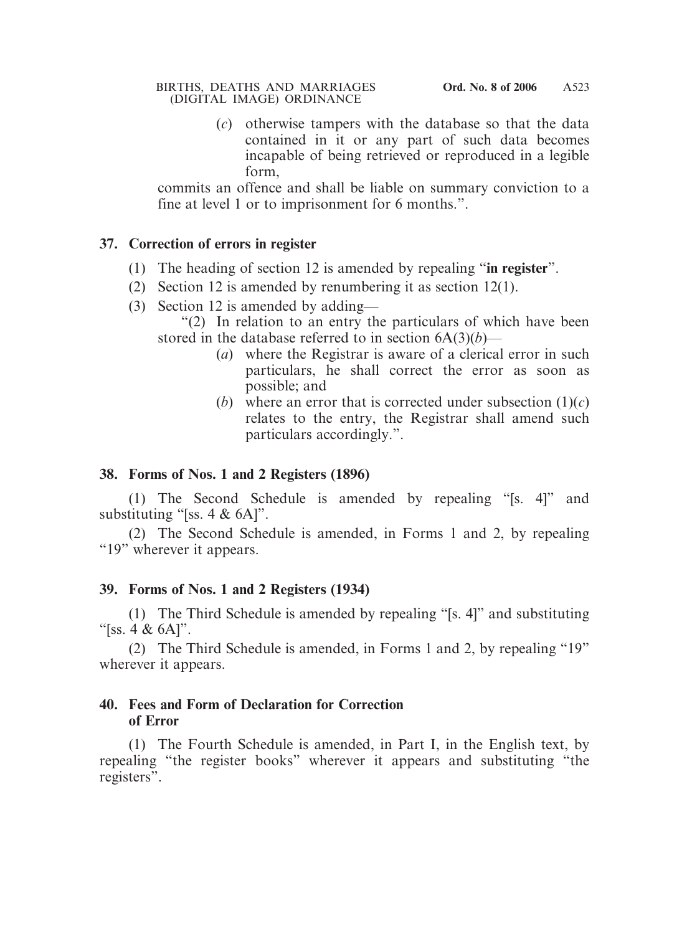#### BIRTHS, DEATHS AND MARRIAGES **Ord. No. 8 of 2006** (DIGITAL IMAGE) ORDINANCE

(*c*) otherwise tampers with the database so that the data contained in it or any part of such data becomes incapable of being retrieved or reproduced in a legible form,

commits an offence and shall be liable on summary conviction to a fine at level 1 or to imprisonment for 6 months.".

## **37. Correction of errors in register**

- (1) The heading of section 12 is amended by repealing "**in register**".
- (2) Section 12 is amended by renumbering it as section 12(1).
- (3) Section 12 is amended by adding—

"(2) In relation to an entry the particulars of which have been stored in the database referred to in section  $6A(3)(b)$ —

- (*a*) where the Registrar is aware of a clerical error in such particulars, he shall correct the error as soon as possible; and
- (*b*) where an error that is corrected under subsection  $(1)(c)$ relates to the entry, the Registrar shall amend such particulars accordingly.".

## **38. Forms of Nos. 1 and 2 Registers (1896)**

(1) The Second Schedule is amended by repealing "[s. 4]" and substituting "[ss. 4 & 6A]".

(2) The Second Schedule is amended, in Forms 1 and 2, by repealing "19" wherever it appears.

## **39. Forms of Nos. 1 and 2 Registers (1934)**

(1) The Third Schedule is amended by repealing "[s. 4]" and substituting "[ss.  $4 \& 6A$ ]".

(2) The Third Schedule is amended, in Forms 1 and 2, by repealing "19" wherever it appears.

## **40. Fees and Form of Declaration for Correction of Error**

(1) The Fourth Schedule is amended, in Part I, in the English text, by repealing "the register books" wherever it appears and substituting "the registers".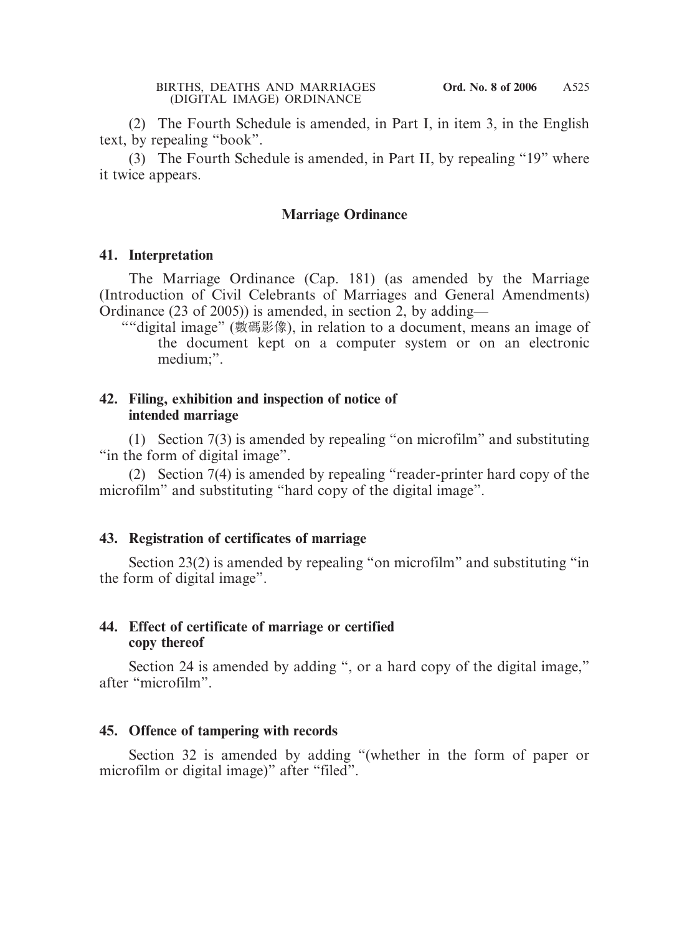(2) The Fourth Schedule is amended, in Part I, in item 3, in the English text, by repealing "book".

(3) The Fourth Schedule is amended, in Part II, by repealing "19" where it twice appears.

#### **Marriage Ordinance**

#### **41. Interpretation**

The Marriage Ordinance (Cap. 181) (as amended by the Marriage (Introduction of Civil Celebrants of Marriages and General Amendments) Ordinance (23 of 2005)) is amended, in section 2, by adding—

""digital image" (數碼影像), in relation to a document, means an image of the document kept on a computer system or on an electronic medium;".

#### **42. Filing, exhibition and inspection of notice of intended marriage**

(1) Section 7(3) is amended by repealing "on microfilm" and substituting "in the form of digital image".

(2) Section 7(4) is amended by repealing "reader-printer hard copy of the microfilm" and substituting "hard copy of the digital image".

#### **43. Registration of certificates of marriage**

Section 23(2) is amended by repealing "on microfilm" and substituting "in the form of digital image".

#### **44. Effect of certificate of marriage or certified copy thereof**

Section 24 is amended by adding ", or a hard copy of the digital image," after "microfilm".

#### **45. Offence of tampering with records**

Section 32 is amended by adding "(whether in the form of paper or microfilm or digital image)" after "filed".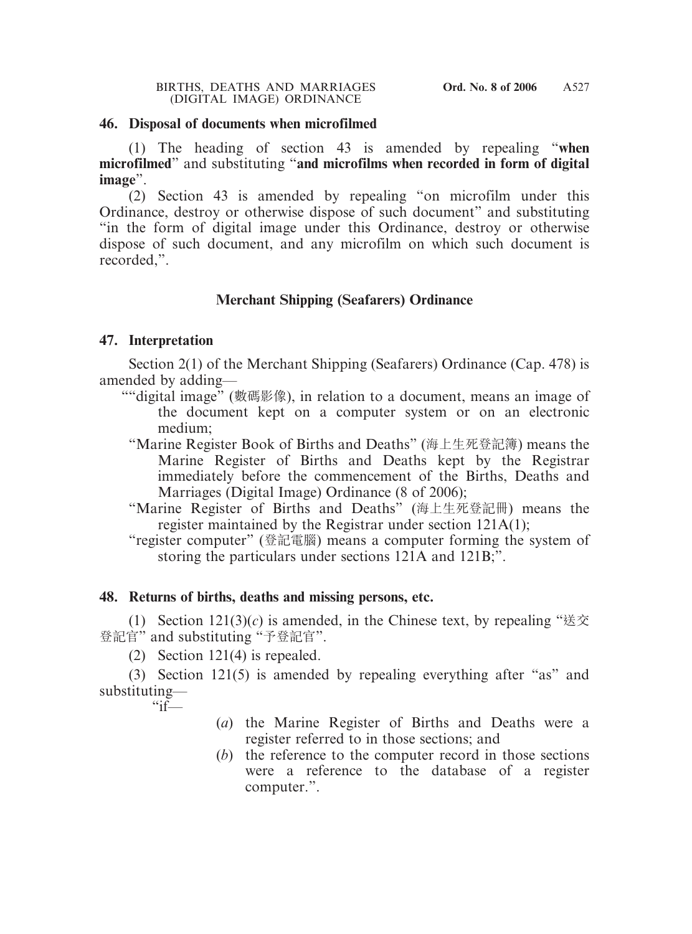#### **46. Disposal of documents when microfilmed**

(1) The heading of section 43 is amended by repealing "**when microfilmed**" and substituting "**and microfilms when recorded in form of digital image**".

(2) Section 43 is amended by repealing "on microfilm under this Ordinance, destroy or otherwise dispose of such document" and substituting "in the form of digital image under this Ordinance, destroy or otherwise dispose of such document, and any microfilm on which such document is recorded,".

## **Merchant Shipping (Seafarers) Ordinance**

#### **47. Interpretation**

Section 2(1) of the Merchant Shipping (Seafarers) Ordinance (Cap. 478) is amended by adding—

- ""digital image" (數碼影像), in relation to a document, means an image of the document kept on a computer system or on an electronic medium;
	- "Marine Register Book of Births and Deaths" (海上生死登記簿) means the Marine Register of Births and Deaths kept by the Registrar immediately before the commencement of the Births, Deaths and Marriages (Digital Image) Ordinance (8 of 2006);
	- "Marine Register of Births and Deaths" (海上生死登記冊) means the register maintained by the Registrar under section 121A(1);
	- "register computer" (登記電腦) means a computer forming the system of storing the particulars under sections 121A and 121B;".

#### **48. Returns of births, deaths and missing persons, etc.**

(1) Section  $121(3)(c)$  is amended, in the Chinese text, by repealing "送交" 登記官" and substituting "予登記官".

(2) Section 121(4) is repealed.

(3) Section 121(5) is amended by repealing everything after "as" and substituting—

 $\mathcal{F}$  if—

- (*a*) the Marine Register of Births and Deaths were a register referred to in those sections; and
- (*b*) the reference to the computer record in those sections were a reference to the database of a register computer.".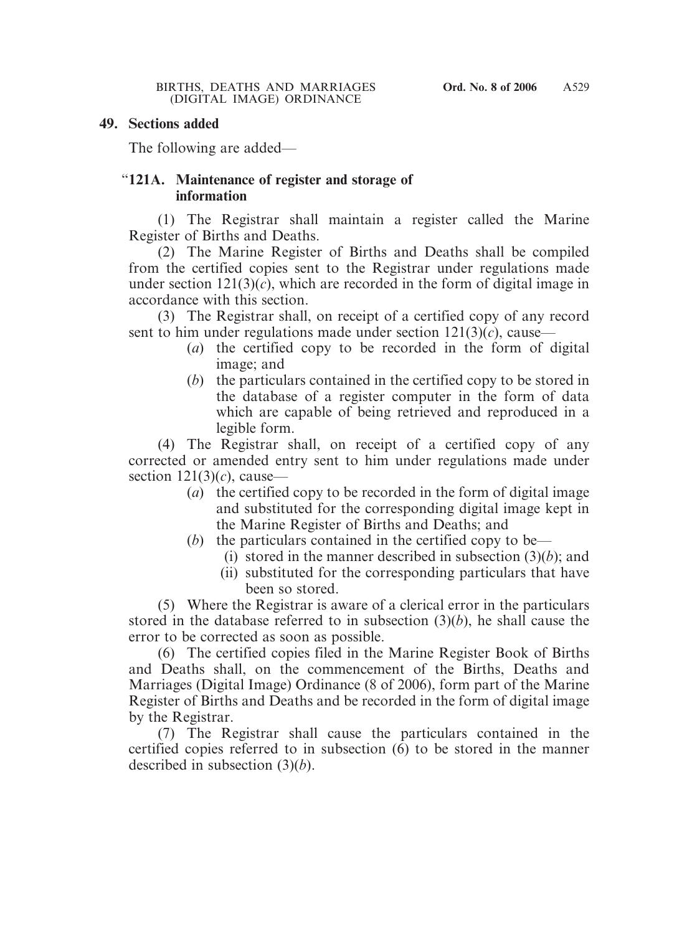#### **49. Sections added**

The following are added—

#### "**121A. Maintenance of register and storage of information**

(1) The Registrar shall maintain a register called the Marine Register of Births and Deaths.

(2) The Marine Register of Births and Deaths shall be compiled from the certified copies sent to the Registrar under regulations made under section  $121(3)(c)$ , which are recorded in the form of digital image in accordance with this section.

(3) The Registrar shall, on receipt of a certified copy of any record sent to him under regulations made under section  $121(3)(c)$ , cause—

- (*a*) the certified copy to be recorded in the form of digital image; and
- (*b*) the particulars contained in the certified copy to be stored in the database of a register computer in the form of data which are capable of being retrieved and reproduced in a legible form.

(4) The Registrar shall, on receipt of a certified copy of any corrected or amended entry sent to him under regulations made under section 121(3)(*c*), cause—

- (*a*) the certified copy to be recorded in the form of digital image and substituted for the corresponding digital image kept in the Marine Register of Births and Deaths; and
- (*b*) the particulars contained in the certified copy to be—
	- (i) stored in the manner described in subsection (3)(*b*); and
	- (ii) substituted for the corresponding particulars that have been so stored.

(5) Where the Registrar is aware of a clerical error in the particulars stored in the database referred to in subsection (3)(*b*), he shall cause the error to be corrected as soon as possible.

(6) The certified copies filed in the Marine Register Book of Births and Deaths shall, on the commencement of the Births, Deaths and Marriages (Digital Image) Ordinance (8 of 2006), form part of the Marine Register of Births and Deaths and be recorded in the form of digital image by the Registrar.

(7) The Registrar shall cause the particulars contained in the certified copies referred to in subsection (6) to be stored in the manner described in subsection (3)(*b*).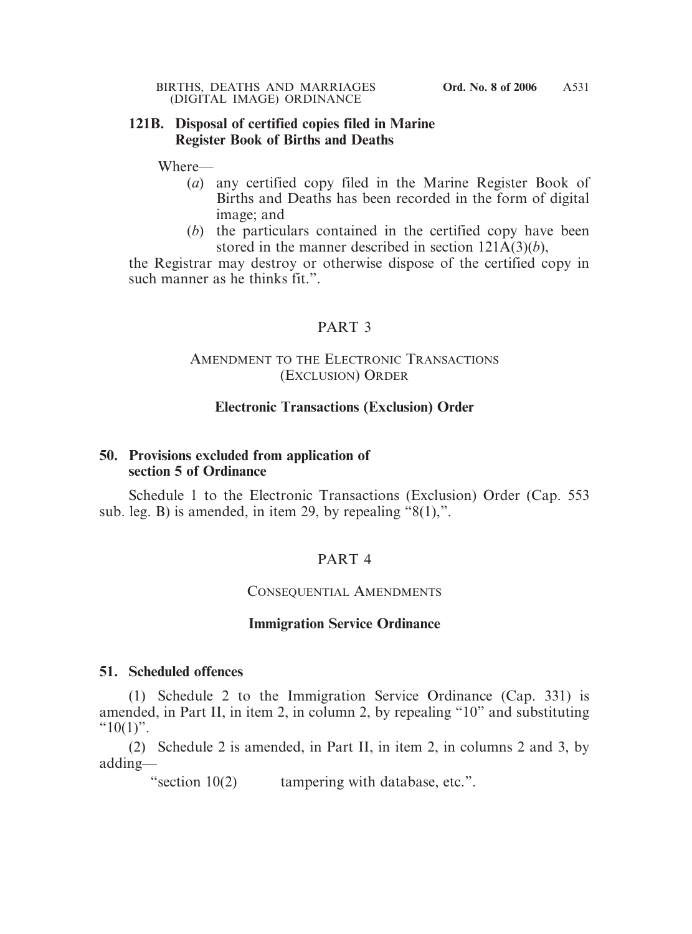#### **121B. Disposal of certified copies filed in Marine Register Book of Births and Deaths**

Where—

- (*a*) any certified copy filed in the Marine Register Book of Births and Deaths has been recorded in the form of digital image; and
- (*b*) the particulars contained in the certified copy have been stored in the manner described in section 121A(3)(*b*),

the Registrar may destroy or otherwise dispose of the certified copy in such manner as he thinks fit.".

## PART 3

## AMENDMENT TO THE ELECTRONIC TRANSACTIONS (EXCLUSION) ORDER

#### **Electronic Transactions (Exclusion) Order**

#### **50. Provisions excluded from application of section 5 of Ordinance**

Schedule 1 to the Electronic Transactions (Exclusion) Order (Cap. 553 sub. leg. B) is amended, in item 29, by repealing "8(1),".

## PART 4

## CONSEQUENTIAL AMENDMENTS

#### **Immigration Service Ordinance**

#### **51. Scheduled offences**

(1) Schedule 2 to the Immigration Service Ordinance (Cap. 331) is amended, in Part II, in item 2, in column 2, by repealing "10" and substituting " $10(1)$ ".

(2) Schedule 2 is amended, in Part II, in item 2, in columns 2 and 3, by adding—

"section 10(2) tampering with database, etc.".